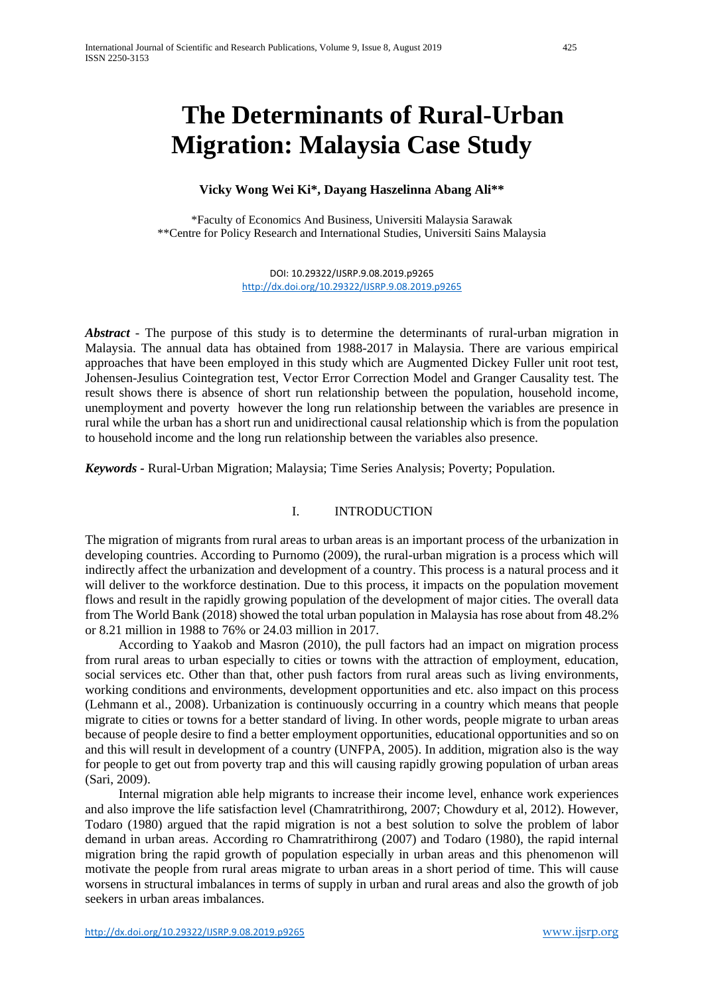# **The Determinants of Rural-Urban Migration: Malaysia Case Study**

## **Vicky Wong Wei Ki\*, Dayang Haszelinna Abang Ali\*\***

\*Faculty of Economics And Business, Universiti Malaysia Sarawak \*\*Centre for Policy Research and International Studies, Universiti Sains Malaysia

> DOI: 10.29322/IJSRP.9.08.2019.p9265 <http://dx.doi.org/10.29322/IJSRP.9.08.2019.p9265>

*Abstract* - The purpose of this study is to determine the determinants of rural-urban migration in Malaysia. The annual data has obtained from 1988-2017 in Malaysia. There are various empirical approaches that have been employed in this study which are Augmented Dickey Fuller unit root test, Johensen-Jesulius Cointegration test, Vector Error Correction Model and Granger Causality test. The result shows there is absence of short run relationship between the population, household income, unemployment and poverty however the long run relationship between the variables are presence in rural while the urban has a short run and unidirectional causal relationship which is from the population to household income and the long run relationship between the variables also presence.

*Keywords -* Rural-Urban Migration; Malaysia; Time Series Analysis; Poverty; Population.

## I. INTRODUCTION

The migration of migrants from rural areas to urban areas is an important process of the urbanization in developing countries. According to Purnomo (2009), the rural-urban migration is a process which will indirectly affect the urbanization and development of a country. This process is a natural process and it will deliver to the workforce destination. Due to this process, it impacts on the population movement flows and result in the rapidly growing population of the development of major cities. The overall data from The World Bank (2018) showed the total urban population in Malaysia has rose about from 48.2% or 8.21 million in 1988 to 76% or 24.03 million in 2017.

According to Yaakob and Masron (2010), the pull factors had an impact on migration process from rural areas to urban especially to cities or towns with the attraction of employment, education, social services etc. Other than that, other push factors from rural areas such as living environments, working conditions and environments, development opportunities and etc. also impact on this process (Lehmann et al., 2008). Urbanization is continuously occurring in a country which means that people migrate to cities or towns for a better standard of living. In other words, people migrate to urban areas because of people desire to find a better employment opportunities, educational opportunities and so on and this will result in development of a country (UNFPA, 2005). In addition, migration also is the way for people to get out from poverty trap and this will causing rapidly growing population of urban areas (Sari, 2009).

Internal migration able help migrants to increase their income level, enhance work experiences and also improve the life satisfaction level (Chamratrithirong, 2007; Chowdury et al, 2012). However, Todaro (1980) argued that the rapid migration is not a best solution to solve the problem of labor demand in urban areas. According ro Chamratrithirong (2007) and Todaro (1980), the rapid internal migration bring the rapid growth of population especially in urban areas and this phenomenon will motivate the people from rural areas migrate to urban areas in a short period of time. This will cause worsens in structural imbalances in terms of supply in urban and rural areas and also the growth of job seekers in urban areas imbalances.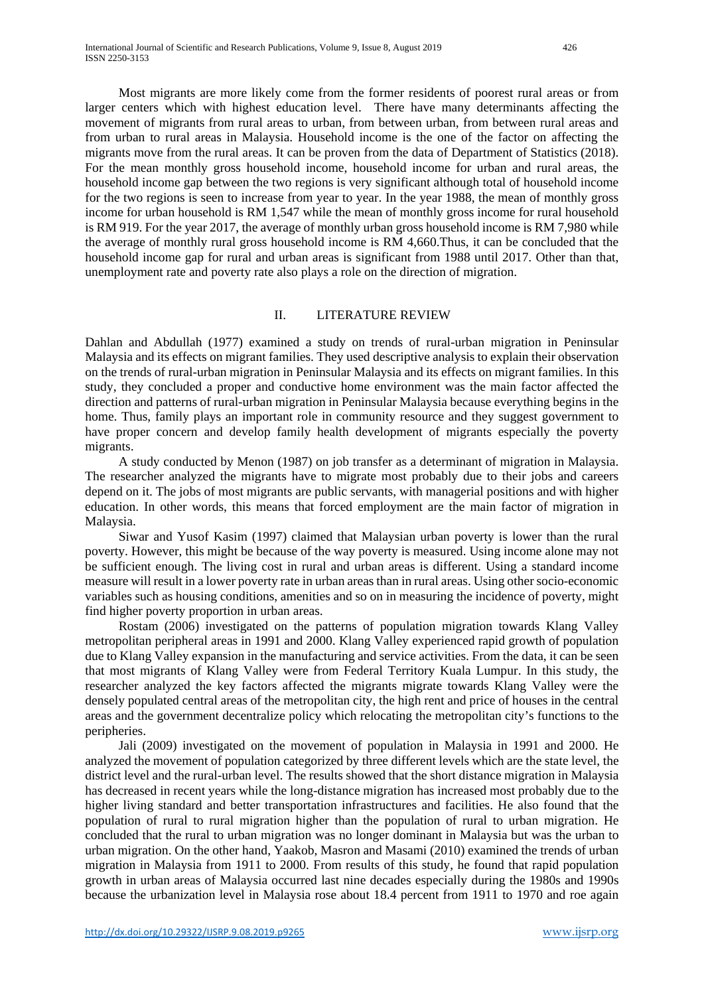Most migrants are more likely come from the former residents of poorest rural areas or from larger centers which with highest education level. There have many determinants affecting the movement of migrants from rural areas to urban, from between urban, from between rural areas and from urban to rural areas in Malaysia. Household income is the one of the factor on affecting the migrants move from the rural areas. It can be proven from the data of Department of Statistics (2018). For the mean monthly gross household income, household income for urban and rural areas, the household income gap between the two regions is very significant although total of household income for the two regions is seen to increase from year to year. In the year 1988, the mean of monthly gross income for urban household is RM 1,547 while the mean of monthly gross income for rural household is RM 919. For the year 2017, the average of monthly urban gross household income is RM 7,980 while the average of monthly rural gross household income is RM 4,660.Thus, it can be concluded that the household income gap for rural and urban areas is significant from 1988 until 2017. Other than that, unemployment rate and poverty rate also plays a role on the direction of migration.

## II. LITERATURE REVIEW

Dahlan and Abdullah (1977) examined a study on trends of rural-urban migration in Peninsular Malaysia and its effects on migrant families. They used descriptive analysis to explain their observation on the trends of rural-urban migration in Peninsular Malaysia and its effects on migrant families. In this study, they concluded a proper and conductive home environment was the main factor affected the direction and patterns of rural-urban migration in Peninsular Malaysia because everything begins in the home. Thus, family plays an important role in community resource and they suggest government to have proper concern and develop family health development of migrants especially the poverty migrants.

A study conducted by Menon (1987) on job transfer as a determinant of migration in Malaysia. The researcher analyzed the migrants have to migrate most probably due to their jobs and careers depend on it. The jobs of most migrants are public servants, with managerial positions and with higher education. In other words, this means that forced employment are the main factor of migration in Malaysia.

Siwar and Yusof Kasim (1997) claimed that Malaysian urban poverty is lower than the rural poverty. However, this might be because of the way poverty is measured. Using income alone may not be sufficient enough. The living cost in rural and urban areas is different. Using a standard income measure will result in a lower poverty rate in urban areas than in rural areas. Using other socio-economic variables such as housing conditions, amenities and so on in measuring the incidence of poverty, might find higher poverty proportion in urban areas.

Rostam (2006) investigated on the patterns of population migration towards Klang Valley metropolitan peripheral areas in 1991 and 2000. Klang Valley experienced rapid growth of population due to Klang Valley expansion in the manufacturing and service activities. From the data, it can be seen that most migrants of Klang Valley were from Federal Territory Kuala Lumpur. In this study, the researcher analyzed the key factors affected the migrants migrate towards Klang Valley were the densely populated central areas of the metropolitan city, the high rent and price of houses in the central areas and the government decentralize policy which relocating the metropolitan city's functions to the peripheries.

Jali (2009) investigated on the movement of population in Malaysia in 1991 and 2000. He analyzed the movement of population categorized by three different levels which are the state level, the district level and the rural-urban level. The results showed that the short distance migration in Malaysia has decreased in recent years while the long-distance migration has increased most probably due to the higher living standard and better transportation infrastructures and facilities. He also found that the population of rural to rural migration higher than the population of rural to urban migration. He concluded that the rural to urban migration was no longer dominant in Malaysia but was the urban to urban migration. On the other hand, Yaakob, Masron and Masami (2010) examined the trends of urban migration in Malaysia from 1911 to 2000. From results of this study, he found that rapid population growth in urban areas of Malaysia occurred last nine decades especially during the 1980s and 1990s because the urbanization level in Malaysia rose about 18.4 percent from 1911 to 1970 and roe again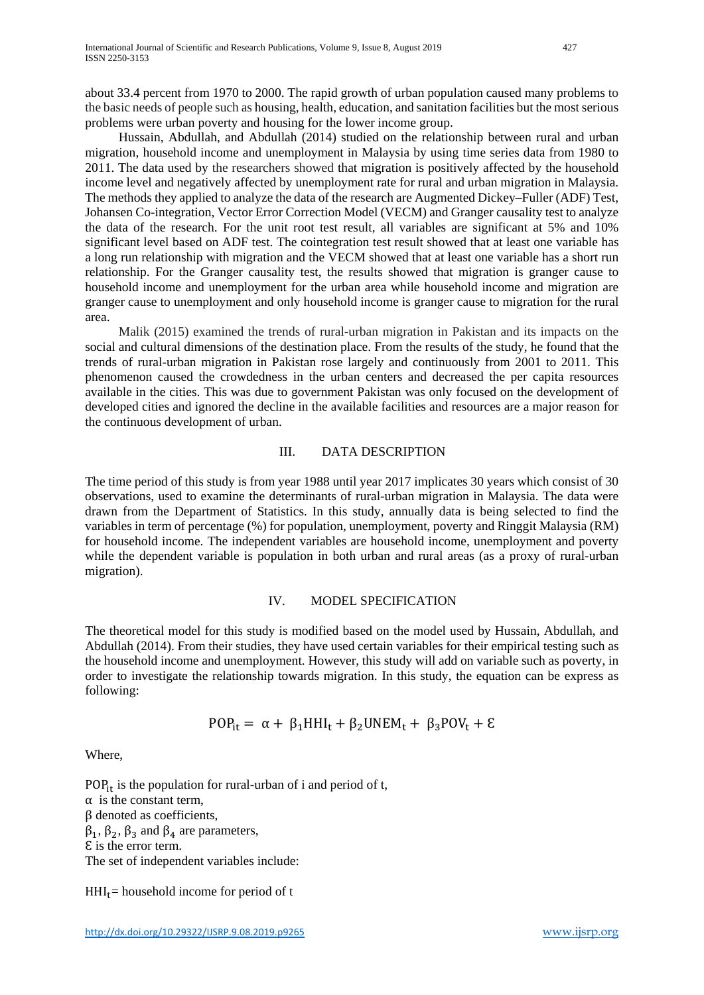about 33.4 percent from 1970 to 2000. The rapid growth of urban population caused many problems to the basic needs of people such as housing, health, education, and sanitation facilities but the most serious problems were urban poverty and housing for the lower income group.

Hussain, Abdullah, and Abdullah (2014) studied on the relationship between rural and urban migration, household income and unemployment in Malaysia by using time series data from 1980 to 2011. The data used by the researchers showed that migration is positively affected by the household income level and negatively affected by unemployment rate for rural and urban migration in Malaysia. The methods they applied to analyze the data of the research are Augmented Dickey–Fuller (ADF) Test, Johansen Co-integration, Vector Error Correction Model (VECM) and Granger causality test to analyze the data of the research. For the unit root test result, all variables are significant at 5% and 10% significant level based on ADF test. The cointegration test result showed that at least one variable has a long run relationship with migration and the VECM showed that at least one variable has a short run relationship. For the Granger causality test, the results showed that migration is granger cause to household income and unemployment for the urban area while household income and migration are granger cause to unemployment and only household income is granger cause to migration for the rural area.

Malik (2015) examined the trends of rural-urban migration in Pakistan and its impacts on the social and cultural dimensions of the destination place. From the results of the study, he found that the trends of rural-urban migration in Pakistan rose largely and continuously from 2001 to 2011. This phenomenon caused the crowdedness in the urban centers and decreased the per capita resources available in the cities. This was due to government Pakistan was only focused on the development of developed cities and ignored the decline in the available facilities and resources are a major reason for the continuous development of urban.

#### III. DATA DESCRIPTION

The time period of this study is from year 1988 until year 2017 implicates 30 years which consist of 30 observations, used to examine the determinants of rural-urban migration in Malaysia. The data were drawn from the Department of Statistics. In this study, annually data is being selected to find the variables in term of percentage (%) for population, unemployment, poverty and Ringgit Malaysia (RM) for household income. The independent variables are household income, unemployment and poverty while the dependent variable is population in both urban and rural areas (as a proxy of rural-urban migration).

#### IV. MODEL SPECIFICATION

The theoretical model for this study is modified based on the model used by Hussain, Abdullah, and Abdullah (2014). From their studies, they have used certain variables for their empirical testing such as the household income and unemployment. However, this study will add on variable such as poverty, in order to investigate the relationship towards migration. In this study, the equation can be express as following:

$$
POP_{it} = \alpha + \beta_1 HHI_t + \beta_2 UNEM_t + \beta_3 POV_t + \epsilon
$$

Where,

 $POP_{it}$  is the population for rural-urban of i and period of t,  $\alpha$  is the constant term, β denoted as coefficients,  $β_1$ ,  $β_2$ ,  $β_3$  and  $β_4$  are parameters, Ɛ is the error term. The set of independent variables include:

 $HHI_t$ = household income for period of t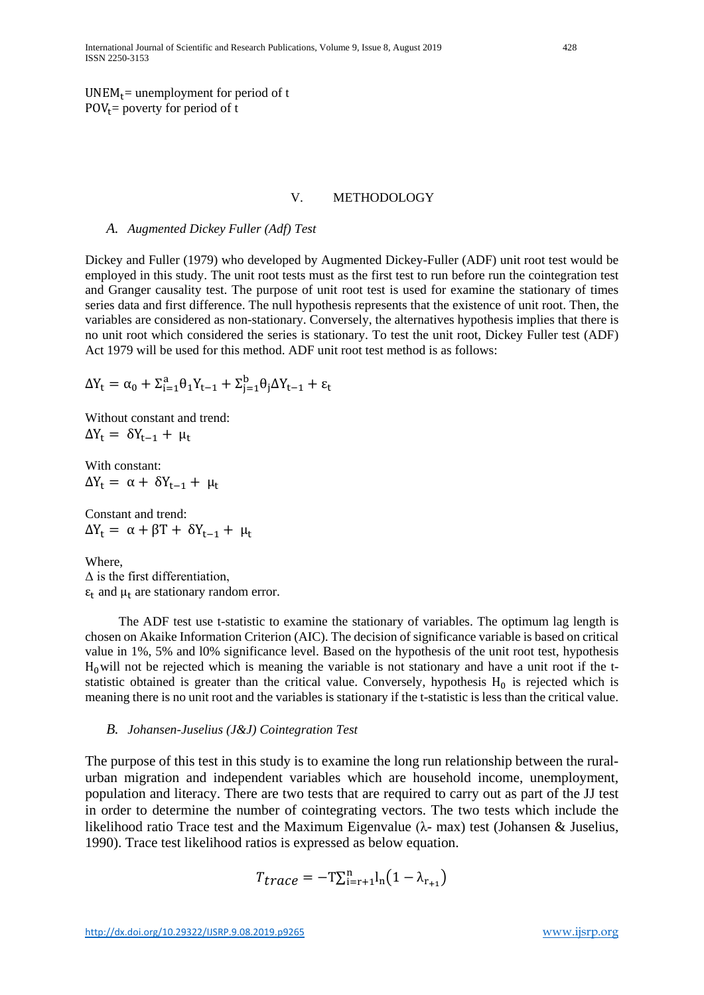$UNEM_t$ = unemployment for period of t  $POV<sub>t</sub>$  = poverty for period of t

#### V. METHODOLOGY

#### *A. Augmented Dickey Fuller (Adf) Test*

Dickey and Fuller (1979) who developed by Augmented Dickey-Fuller (ADF) unit root test would be employed in this study. The unit root tests must as the first test to run before run the cointegration test and Granger causality test. The purpose of unit root test is used for examine the stationary of times series data and first difference. The null hypothesis represents that the existence of unit root. Then, the variables are considered as non-stationary. Conversely, the alternatives hypothesis implies that there is no unit root which considered the series is stationary. To test the unit root, Dickey Fuller test (ADF) Act 1979 will be used for this method. ADF unit root test method is as follows:

$$
\Delta Y_t = \alpha_0 + \Sigma_{i=1}^a \theta_1 Y_{t-1} + \Sigma_{j=1}^b \theta_j \Delta Y_{t-1} + \epsilon_t
$$

Without constant and trend:  $\Delta Y_t = \delta Y_{t-1} + \mu_t$ 

With constant:  $\Delta Y_t = \alpha + \delta Y_{t-1} + \mu_t$ 

Constant and trend:  $\Delta Y_t = \alpha + \beta T + \delta Y_{t-1} + \mu_t$ 

Where,  $\Delta$  is the first differentiation,  $\epsilon_t$  and  $\mu_t$  are stationary random error.

The ADF test use t-statistic to examine the stationary of variables. The optimum lag length is chosen on Akaike Information Criterion (AIC). The decision of significance variable is based on critical value in 1%, 5% and l0% significance level. Based on the hypothesis of the unit root test, hypothesis  $H_0$ will not be rejected which is meaning the variable is not stationary and have a unit root if the tstatistic obtained is greater than the critical value. Conversely, hypothesis  $H_0$  is rejected which is meaning there is no unit root and the variables is stationary if the t-statistic is less than the critical value.

#### *B. Johansen-Juselius (J&J) Cointegration Test*

The purpose of this test in this study is to examine the long run relationship between the ruralurban migration and independent variables which are household income, unemployment, population and literacy. There are two tests that are required to carry out as part of the JJ test in order to determine the number of cointegrating vectors. The two tests which include the likelihood ratio Trace test and the Maximum Eigenvalue ( $\lambda$ - max) test (Johansen & Juselius, 1990). Trace test likelihood ratios is expressed as below equation.

$$
T_{trace} = -\mathbf{T}\sum_{i=r+1}^{n} l_{n} (1 - \lambda_{r_{+1}})
$$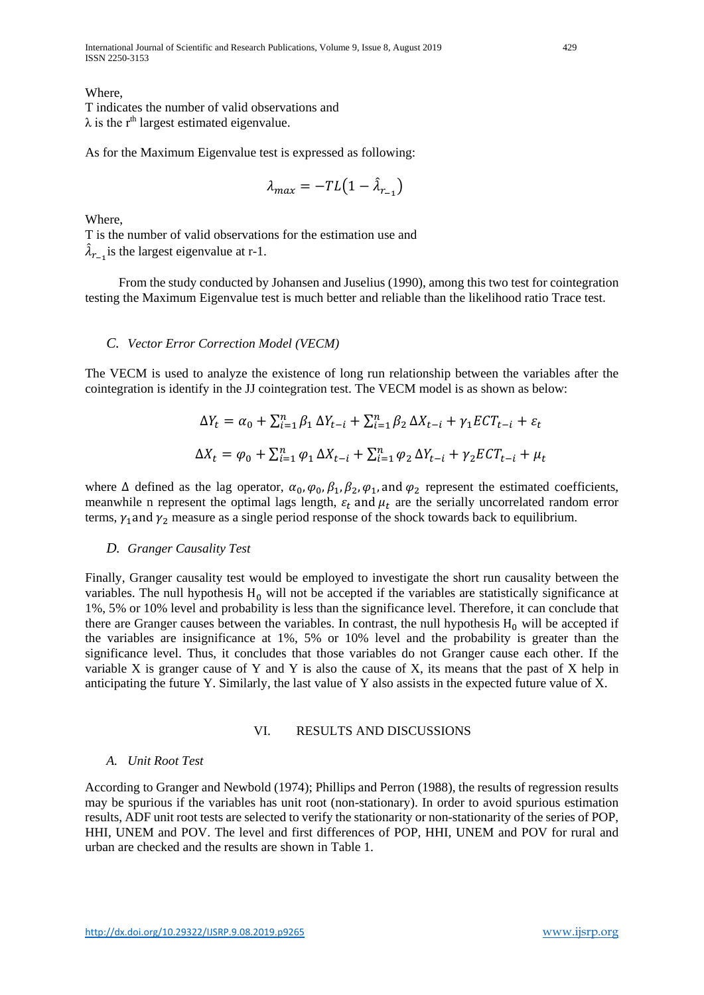International Journal of Scientific and Research Publications, Volume 9, Issue 8, August 2019 429 ISSN 2250-3153

Where,

T indicates the number of valid observations and  $\lambda$  is the r<sup>th</sup> largest estimated eigenvalue.

As for the Maximum Eigenvalue test is expressed as following:

$$
\lambda_{max} = -TL(1 - \hat{\lambda}_{r_{-1}})
$$

Where,

T is the number of valid observations for the estimation use and  $\lambda_{r-1}$  is the largest eigenvalue at r-1.

From the study conducted by Johansen and Juselius (1990), among this two test for cointegration testing the Maximum Eigenvalue test is much better and reliable than the likelihood ratio Trace test.

# *C. Vector Error Correction Model (VECM)*

The VECM is used to analyze the existence of long run relationship between the variables after the cointegration is identify in the JJ cointegration test. The VECM model is as shown as below:

$$
\Delta Y_t = \alpha_0 + \sum_{i=1}^n \beta_1 \, \Delta Y_{t-i} + \sum_{i=1}^n \beta_2 \, \Delta X_{t-i} + \gamma_1 E C T_{t-i} + \varepsilon_t
$$
  

$$
\Delta X_t = \varphi_0 + \sum_{i=1}^n \varphi_1 \, \Delta X_{t-i} + \sum_{i=1}^n \varphi_2 \, \Delta Y_{t-i} + \gamma_2 E C T_{t-i} + \mu_t
$$

where  $\Delta$  defined as the lag operator,  $\alpha_0$ ,  $\varphi_0$ ,  $\beta_1$ ,  $\beta_2$ ,  $\varphi_1$ , and  $\varphi_2$  represent the estimated coefficients, meanwhile n represent the optimal lags length,  $\varepsilon_t$  and  $\mu_t$  are the serially uncorrelated random error terms,  $\gamma_1$  and  $\gamma_2$  measure as a single period response of the shock towards back to equilibrium.

# *D. Granger Causality Test*

Finally, Granger causality test would be employed to investigate the short run causality between the variables. The null hypothesis  $H_0$  will not be accepted if the variables are statistically significance at 1%, 5% or 10% level and probability is less than the significance level. Therefore, it can conclude that there are Granger causes between the variables. In contrast, the null hypothesis  $H_0$  will be accepted if the variables are insignificance at 1%, 5% or 10% level and the probability is greater than the significance level. Thus, it concludes that those variables do not Granger cause each other. If the variable X is granger cause of Y and Y is also the cause of X, its means that the past of X help in anticipating the future Y. Similarly, the last value of Y also assists in the expected future value of X.

#### VI. RESULTS AND DISCUSSIONS

# *A. Unit Root Test*

According to Granger and Newbold (1974); Phillips and Perron (1988), the results of regression results may be spurious if the variables has unit root (non-stationary). In order to avoid spurious estimation results, ADF unit root tests are selected to verify the stationarity or non-stationarity of the series of POP, HHI, UNEM and POV. The level and first differences of POP, HHI, UNEM and POV for rural and urban are checked and the results are shown in Table 1.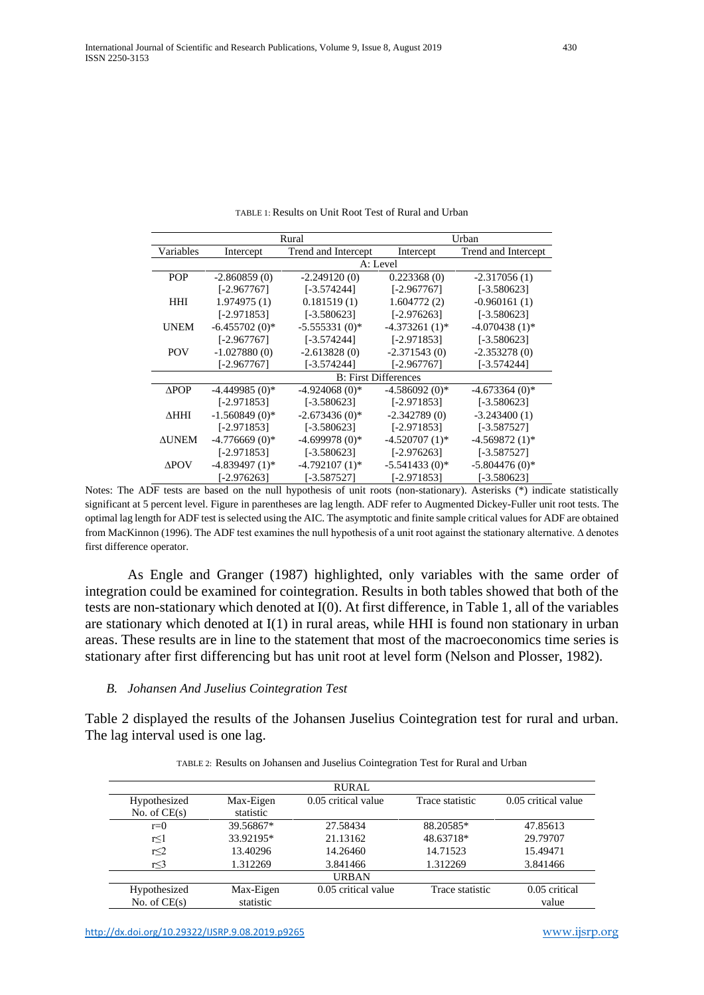|                 |                  | Rural                       | Urban            |                     |  |  |
|-----------------|------------------|-----------------------------|------------------|---------------------|--|--|
| Variables       | Intercept        | Trend and Intercept         | Intercept        | Trend and Intercept |  |  |
|                 |                  | A: Level                    |                  |                     |  |  |
| <b>POP</b>      | $-2.860859(0)$   | $-2.249120(0)$              | 0.223368(0)      | $-2.317056(1)$      |  |  |
|                 | $[-2.967767]$    | $[-3.574244]$               | $[-2.967767]$    | $[-3.580623]$       |  |  |
| <b>HHI</b>      | 1.974975(1)      | 0.181519(1)                 | 1.604772(2)      | $-0.960161(1)$      |  |  |
|                 | $[-2.971853]$    | $[-3.580623]$               | $[-2.976263]$    | $[-3.580623]$       |  |  |
| <b>UNEM</b>     | $-6.455702(0)*$  | $-5.555331(0)$ *            | $-4.373261(1)$ * | $-4.070438(1)$ *    |  |  |
|                 | $[-2.967767]$    | $[-3.574244]$               | $[-2.971853]$    | $[-3.580623]$       |  |  |
| <b>POV</b>      | $-1.027880(0)$   | $-2.613828(0)$              | $-2.371543(0)$   | $-2.353278(0)$      |  |  |
|                 | [-2.967767]      | $[-3.574244]$               | $[-2.967767]$    | $[-3.574244]$       |  |  |
|                 |                  | <b>B:</b> First Differences |                  |                     |  |  |
| $\triangle POP$ | $-4.449985(0)*$  | $-4.924068(0)*$             | $-4.586092(0)*$  | $-4.673364(0)$ *    |  |  |
|                 | $[-2.971853]$    | $[-3.580623]$               | $[-2.971853]$    | $[-3.580623]$       |  |  |
| ∆ННІ            | $-1.560849(0)$ * | $-2.673436(0)$ *            | $-2.342789(0)$   | $-3.243400(1)$      |  |  |
|                 | $[-2.971853]$    | $[-3.580623]$               | $[-2.971853]$    | $[-3.587527]$       |  |  |
| <b>AUNEM</b>    | $-4.776669(0)*$  | $-4.699978(0)*$             | $-4.520707(1)$ * | $-4.569872(1)$ *    |  |  |
|                 | $[-2.971853]$    | $[-3.580623]$               | $[-2.976263]$    | $[-3.587527]$       |  |  |
| $\triangle$ POV | $-4.839497(1)$ * | $-4.792107(1)$ *            | $-5.541433(0)*$  | $-5.804476(0)$ *    |  |  |
|                 | $[-2.976263]$    | $[-3.587527]$               | $[-2.971853]$    | $[-3.580623]$       |  |  |

TABLE 1: Results on Unit Root Test of Rural and Urban

Notes: The ADF tests are based on the null hypothesis of unit roots (non-stationary). Asterisks (\*) indicate statistically significant at 5 percent level. Figure in parentheses are lag length. ADF refer to Augmented Dickey-Fuller unit root tests. The optimal lag length for ADF test is selected using the AIC. The asymptotic and finite sample critical values for ADF are obtained from MacKinnon (1996). The ADF test examines the null hypothesis of a unit root against the stationary alternative. ∆ denotes first difference operator.

As Engle and Granger (1987) highlighted, only variables with the same order of integration could be examined for cointegration. Results in both tables showed that both of the tests are non-stationary which denoted at I(0). At first difference, in Table 1, all of the variables are stationary which denoted at  $I(1)$  in rural areas, while HHI is found non stationary in urban areas. These results are in line to the statement that most of the macroeconomics time series is stationary after first differencing but has unit root at level form (Nelson and Plosser, 1982).

#### *B. Johansen And Juselius Cointegration Test*

Table 2 displayed the results of the Johansen Juselius Cointegration test for rural and urban. The lag interval used is one lag.

|                                |                        | <b>RURAL</b>        |                 |                        |
|--------------------------------|------------------------|---------------------|-----------------|------------------------|
| Hypothesized<br>No. of $CE(s)$ | Max-Eigen<br>statistic | 0.05 critical value | Trace statistic | 0.05 critical value    |
| $r=0$                          | 39.56867*              | 27.58434            | 88.20585*       | 47.85613               |
| $r \leq 1$                     | 33.92195*              | 21.13162            | 48.63718*       | 29.79707               |
| r<2                            | 13.40296               | 14.26460            | 14.71523        | 15.49471               |
| r≤3                            | 1.312269               | 3.841466            | 1.312269        | 3.841466               |
|                                |                        | <b>URBAN</b>        |                 |                        |
| Hypothesized<br>No. of $CE(s)$ | Max-Eigen<br>statistic | 0.05 critical value | Trace statistic | 0.05 critical<br>value |

| TABLE 2: Results on Johansen and Juselius Cointegration Test for Rural and Urban |  |
|----------------------------------------------------------------------------------|--|
|----------------------------------------------------------------------------------|--|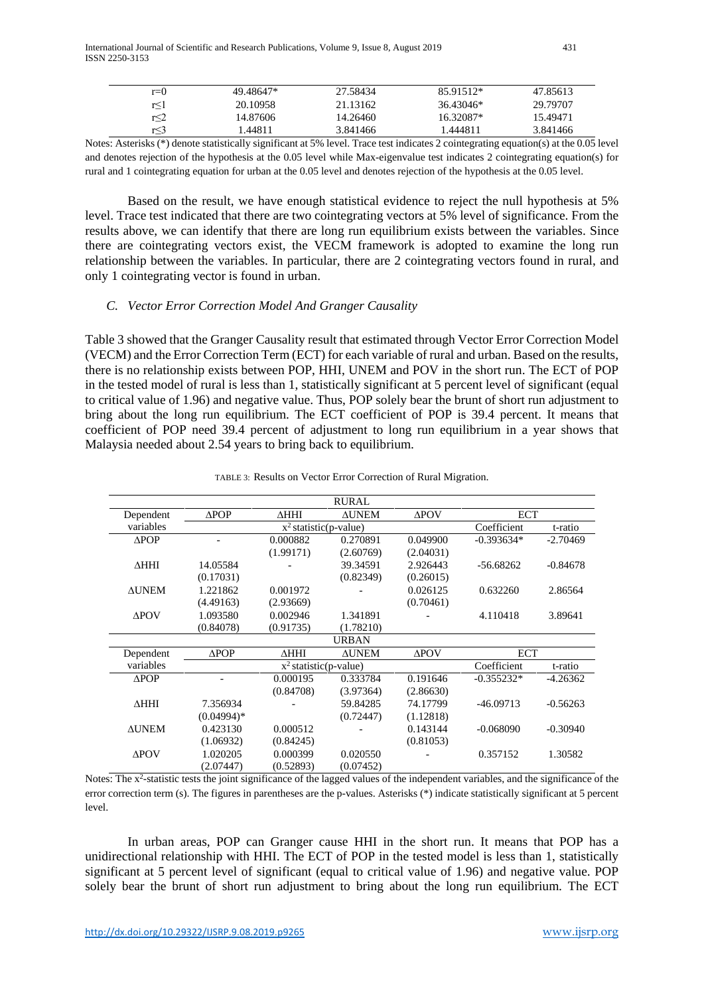| $r=0$ | 49.48647* | 27.58434 | 85.91512* | 47.85613 |
|-------|-----------|----------|-----------|----------|
| r<1   | 20.10958  | 21.13162 | 36.43046* | 29.79707 |
| r<2   | 14.87606  | 14.26460 | 16.32087* | 15.49471 |
| r<3   | .44811    | 3.841466 | .444811   | 3.841466 |

Notes: Asterisks (\*) denote statistically significant at 5% level. Trace test indicates 2 cointegrating equation(s) at the 0.05 level and denotes rejection of the hypothesis at the 0.05 level while Max-eigenvalue test indicates 2 cointegrating equation(s) for rural and 1 cointegrating equation for urban at the 0.05 level and denotes rejection of the hypothesis at the 0.05 level.

Based on the result, we have enough statistical evidence to reject the null hypothesis at 5% level. Trace test indicated that there are two cointegrating vectors at 5% level of significance. From the results above, we can identify that there are long run equilibrium exists between the variables. Since there are cointegrating vectors exist, the VECM framework is adopted to examine the long run relationship between the variables. In particular, there are 2 cointegrating vectors found in rural, and only 1 cointegrating vector is found in urban.

# *C. Vector Error Correction Model And Granger Causality*

Table 3 showed that the Granger Causality result that estimated through Vector Error Correction Model (VECM) and the Error Correction Term (ECT) for each variable of rural and urban. Based on the results, there is no relationship exists between POP, HHI, UNEM and POV in the short run. The ECT of POP in the tested model of rural is less than 1, statistically significant at 5 percent level of significant (equal to critical value of 1.96) and negative value. Thus, POP solely bear the brunt of short run adjustment to bring about the long run equilibrium. The ECT coefficient of POP is 39.4 percent. It means that coefficient of POP need 39.4 percent of adjustment to long run equilibrium in a year shows that Malaysia needed about 2.54 years to bring back to equilibrium.

|                 |                          |                          | <b>RURAL</b> |              |              |            |
|-----------------|--------------------------|--------------------------|--------------|--------------|--------------|------------|
| Dependent       | $\triangle POP$          | $\triangle HHI$          | <b>AUNEM</b> | $\Delta$ POV | <b>ECT</b>   |            |
| variables       |                          | $x^2$ statistic(p-value) |              |              | Coefficient  | t-ratio    |
| $\triangle POP$ |                          | 0.000882                 | 0.270891     | 0.049900     | $-0.393634*$ | $-2.70469$ |
|                 |                          | (1.99171)                | (2.60769)    | (2.04031)    |              |            |
| $\triangle HHI$ | 14.05584                 |                          | 39.34591     | 2.926443     | $-56.68262$  | $-0.84678$ |
|                 | (0.17031)                |                          | (0.82349)    | (0.26015)    |              |            |
| <b>AUNEM</b>    | 1.221862                 | 0.001972                 |              | 0.026125     | 0.632260     | 2.86564    |
|                 | (4.49163)                | (2.93669)                |              | (0.70461)    |              |            |
| $\triangle$ POV | 1.093580                 | 0.002946                 | 1.341891     |              | 4.110418     | 3.89641    |
|                 | (0.84078)                | (0.91735)                | (1.78210)    |              |              |            |
|                 |                          |                          | <b>URBAN</b> |              |              |            |
| Dependent       | $\triangle POP$          | ∆ННІ                     | <b>AUNEM</b> | $\Delta$ POV | <b>ECT</b>   |            |
| variables       | $x^2$ statistic(p-value) |                          |              | Coefficient  | t-ratio      |            |
| $\triangle POP$ |                          | 0.000195                 | 0.333784     | 0.191646     | $-0.355232*$ | $-4.26362$ |
|                 |                          | (0.84708)                | (3.97364)    | (2.86630)    |              |            |
| $\triangle HHI$ | 7.356934                 |                          | 59.84285     | 74.17799     | $-46.09713$  | $-0.56263$ |
|                 | $(0.04994)*$             |                          | (0.72447)    | (1.12818)    |              |            |
| <b>AUNEM</b>    | 0.423130                 | 0.000512                 |              | 0.143144     | $-0.068090$  | $-0.30940$ |
|                 | (1.06932)                | (0.84245)                |              | (0.81053)    |              |            |
| $\triangle$ POV | 1.020205                 | 0.000399                 | 0.020550     |              | 0.357152     | 1.30582    |
|                 | (2.07447)                | (0.52893)                | (0.07452)    |              |              |            |

#### TABLE 3: Results on Vector Error Correction of Rural Migration.

Notes: The  $x^2$ -statistic tests the joint significance of the lagged values of the independent variables, and the significance of the error correction term (s). The figures in parentheses are the p-values. Asterisks (\*) indicate statistically significant at 5 percent level.

In urban areas, POP can Granger cause HHI in the short run. It means that POP has a unidirectional relationship with HHI. The ECT of POP in the tested model is less than 1, statistically significant at 5 percent level of significant (equal to critical value of 1.96) and negative value. POP solely bear the brunt of short run adjustment to bring about the long run equilibrium. The ECT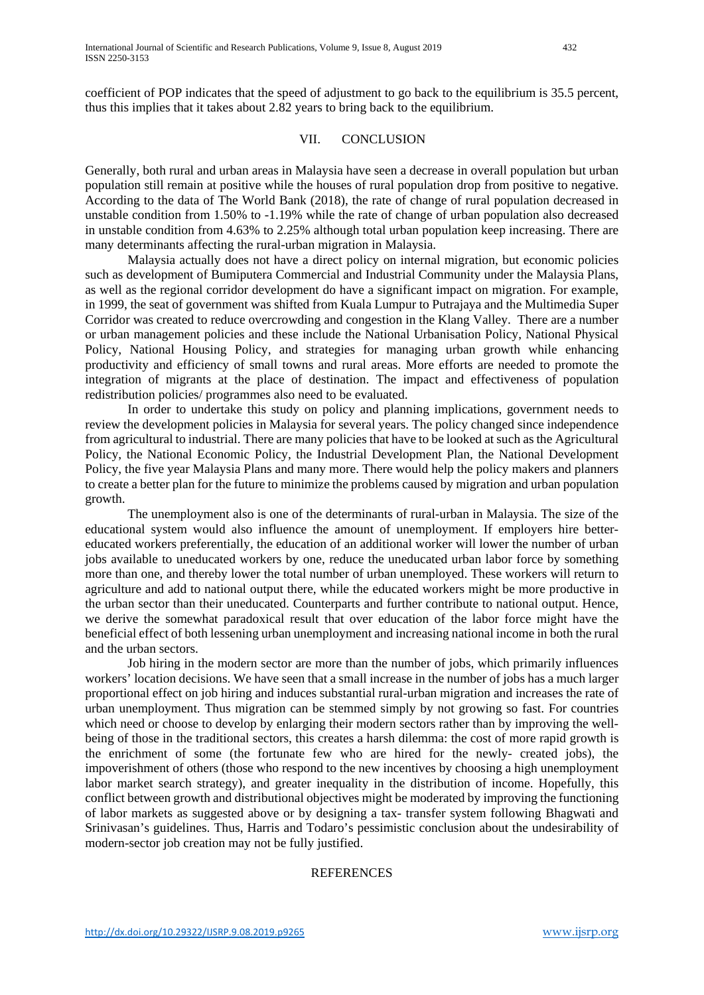coefficient of POP indicates that the speed of adjustment to go back to the equilibrium is 35.5 percent, thus this implies that it takes about 2.82 years to bring back to the equilibrium.

#### VII. CONCLUSION

Generally, both rural and urban areas in Malaysia have seen a decrease in overall population but urban population still remain at positive while the houses of rural population drop from positive to negative. According to the data of The World Bank (2018), the rate of change of rural population decreased in unstable condition from 1.50% to -1.19% while the rate of change of urban population also decreased in unstable condition from 4.63% to 2.25% although total urban population keep increasing. There are many determinants affecting the rural-urban migration in Malaysia.

Malaysia actually does not have a direct policy on internal migration, but economic policies such as development of Bumiputera Commercial and Industrial Community under the Malaysia Plans, as well as the regional corridor development do have a significant impact on migration. For example, in 1999, the seat of government was shifted from Kuala Lumpur to Putrajaya and the Multimedia Super Corridor was created to reduce overcrowding and congestion in the Klang Valley. There are a number or urban management policies and these include the National Urbanisation Policy, National Physical Policy, National Housing Policy, and strategies for managing urban growth while enhancing productivity and efficiency of small towns and rural areas. More efforts are needed to promote the integration of migrants at the place of destination. The impact and effectiveness of population redistribution policies/ programmes also need to be evaluated.

In order to undertake this study on policy and planning implications, government needs to review the development policies in Malaysia for several years. The policy changed since independence from agricultural to industrial. There are many policies that have to be looked at such as the Agricultural Policy, the National Economic Policy, the Industrial Development Plan, the National Development Policy, the five year Malaysia Plans and many more. There would help the policy makers and planners to create a better plan for the future to minimize the problems caused by migration and urban population growth.

The unemployment also is one of the determinants of rural-urban in Malaysia. The size of the educational system would also influence the amount of unemployment. If employers hire bettereducated workers preferentially, the education of an additional worker will lower the number of urban jobs available to uneducated workers by one, reduce the uneducated urban labor force by something more than one, and thereby lower the total number of urban unemployed. These workers will return to agriculture and add to national output there, while the educated workers might be more productive in the urban sector than their uneducated. Counterparts and further contribute to national output. Hence, we derive the somewhat paradoxical result that over education of the labor force might have the beneficial effect of both lessening urban unemployment and increasing national income in both the rural and the urban sectors.

Job hiring in the modern sector are more than the number of jobs, which primarily influences workers' location decisions. We have seen that a small increase in the number of jobs has a much larger proportional effect on job hiring and induces substantial rural-urban migration and increases the rate of urban unemployment. Thus migration can be stemmed simply by not growing so fast. For countries which need or choose to develop by enlarging their modern sectors rather than by improving the wellbeing of those in the traditional sectors, this creates a harsh dilemma: the cost of more rapid growth is the enrichment of some (the fortunate few who are hired for the newly- created jobs), the impoverishment of others (those who respond to the new incentives by choosing a high unemployment labor market search strategy), and greater inequality in the distribution of income. Hopefully, this conflict between growth and distributional objectives might be moderated by improving the functioning of labor markets as suggested above or by designing a tax- transfer system following Bhagwati and Srinivasan's guidelines. Thus, Harris and Todaro's pessimistic conclusion about the undesirability of modern-sector job creation may not be fully justified.

## **REFERENCES**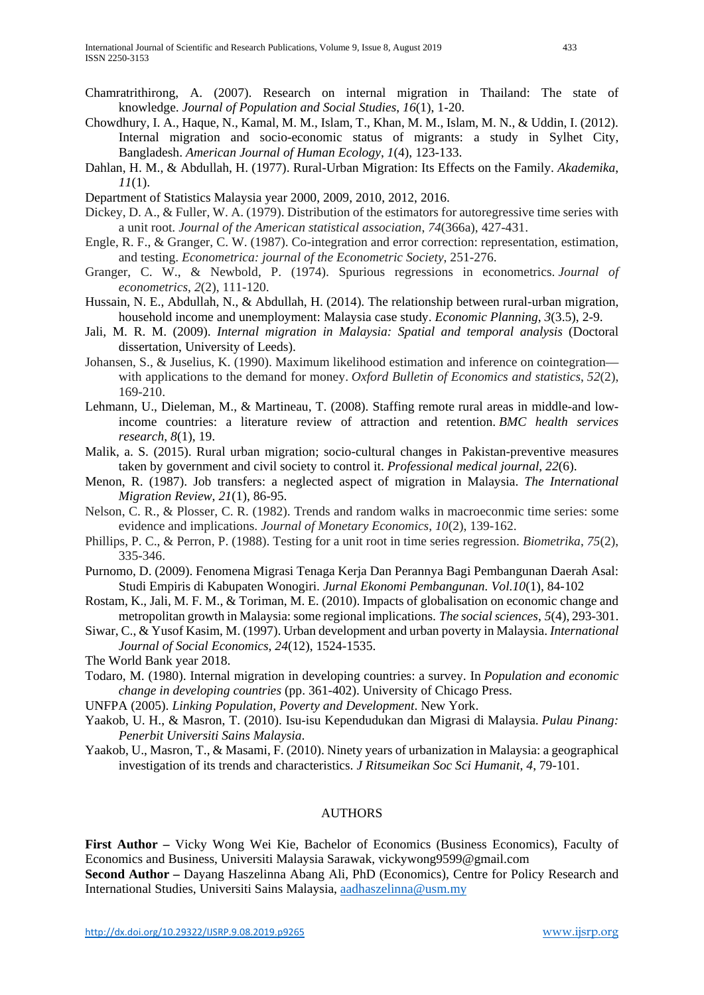- Chamratrithirong, A. (2007). Research on internal migration in Thailand: The state of knowledge. *Journal of Population and Social Studies*, *16*(1), 1-20.
- Chowdhury, I. A., Haque, N., Kamal, M. M., Islam, T., Khan, M. M., Islam, M. N., & Uddin, I. (2012). Internal migration and socio-economic status of migrants: a study in Sylhet City, Bangladesh. *American Journal of Human Ecology*, *1*(4), 123-133.
- Dahlan, H. M., & Abdullah, H. (1977). Rural-Urban Migration: Its Effects on the Family. *Akademika*, *11*(1).
- Department of Statistics Malaysia year 2000, 2009, 2010, 2012, 2016.
- Dickey, D. A., & Fuller, W. A. (1979). Distribution of the estimators for autoregressive time series with a unit root. *Journal of the American statistical association*, *74*(366a), 427-431.
- Engle, R. F., & Granger, C. W. (1987). Co-integration and error correction: representation, estimation, and testing. *Econometrica: journal of the Econometric Society*, 251-276.
- Granger, C. W., & Newbold, P. (1974). Spurious regressions in econometrics. *Journal of econometrics*, *2*(2), 111-120.
- Hussain, N. E., Abdullah, N., & Abdullah, H. (2014). The relationship between rural-urban migration, household income and unemployment: Malaysia case study. *Economic Planning*, *3*(3.5), 2-9.
- Jali, M. R. M. (2009). *Internal migration in Malaysia: Spatial and temporal analysis* (Doctoral dissertation, University of Leeds).
- Johansen, S., & Juselius, K. (1990). Maximum likelihood estimation and inference on cointegration with applications to the demand for money. *Oxford Bulletin of Economics and statistics*, *52*(2), 169-210.
- Lehmann, U., Dieleman, M., & Martineau, T. (2008). Staffing remote rural areas in middle-and lowincome countries: a literature review of attraction and retention. *BMC health services research*, *8*(1), 19.
- Malik, a. S. (2015). Rural urban migration; socio-cultural changes in Pakistan-preventive measures taken by government and civil society to control it. *Professional medical journal*, *22*(6).
- Menon, R. (1987). Job transfers: a neglected aspect of migration in Malaysia. *The International Migration Review*, *21*(1), 86-95.
- Nelson, C. R., & Plosser, C. R. (1982). Trends and random walks in macroeconmic time series: some evidence and implications. *Journal of Monetary Economics*, *10*(2), 139-162.
- Phillips, P. C., & Perron, P. (1988). Testing for a unit root in time series regression. *Biometrika*, *75*(2), 335-346.
- Purnomo, D. (2009). Fenomena Migrasi Tenaga Kerja Dan Perannya Bagi Pembangunan Daerah Asal: Studi Empiris di Kabupaten Wonogiri. *Jurnal Ekonomi Pembangunan. Vol.10*(1), 84-102
- Rostam, K., Jali, M. F. M., & Toriman, M. E. (2010). Impacts of globalisation on economic change and metropolitan growth in Malaysia: some regional implications. *The social sciences*, *5*(4), 293-301.
- Siwar, C., & Yusof Kasim, M. (1997). Urban development and urban poverty in Malaysia. *International Journal of Social Economics*, *24*(12), 1524-1535.

The World Bank year 2018.

- Todaro, M. (1980). Internal migration in developing countries: a survey. In *Population and economic change in developing countries* (pp. 361-402). University of Chicago Press.
- UNFPA (2005). *Linking Population, Poverty and Development*. New York.
- Yaakob, U. H., & Masron, T. (2010). Isu-isu Kependudukan dan Migrasi di Malaysia. *Pulau Pinang: Penerbit Universiti Sains Malaysia*.
- Yaakob, U., Masron, T., & Masami, F. (2010). Ninety years of urbanization in Malaysia: a geographical investigation of its trends and characteristics. *J Ritsumeikan Soc Sci Humanit*, *4*, 79-101.

## AUTHORS

**First Author –** Vicky Wong Wei Kie, Bachelor of Economics (Business Economics), Faculty of Economics and Business, Universiti Malaysia Sarawak, vickywong9599@gmail.com

**Second Author –** Dayang Haszelinna Abang Ali, PhD (Economics), Centre for Policy Research and International Studies, Universiti Sains Malaysia, [aadhaszelinna@usm.my](mailto:aadhaszelinna@usm.my)